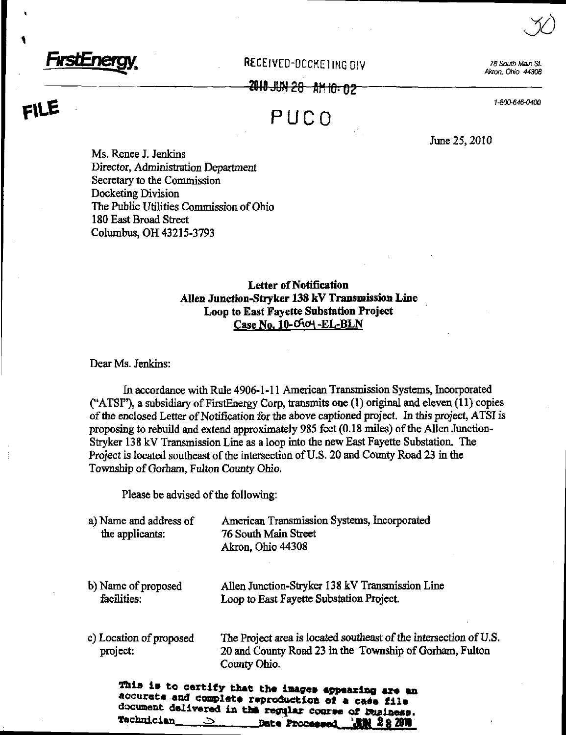

FILE

### RECEIVED-DOCKETING DIV

76 South Main St. Akron, Ohio 44308

## 2010 JUN 28 - AM 10: 02

1-800-646-0400

# PUCO

June 25, 2010

Ms. Renee J. Jenkins Director, Administration Department Secretary to the Commission Docketing Division The Public Utilities Commission of Ohio 180 East Broad Street Columbus, OH 43215-3793

#### **Letter of Notification** Allen Junction-Stryker 138 kV Transmission Line **Loop to East Fayette Substation Project** Case No. 10-OIO1-EL-BLN

Dear Ms. Jenkins:

Technician

In accordance with Rule 4906-1-11 American Transmission Systems, Incorporated ("ATSI"), a subsidiary of FirstEnergy Corp, transmits one (1) original and eleven (11) copies of the enclosed Letter of Notification for the above captioned project. In this project, ATSI is proposing to rebuild and extend approximately 985 feet (0.18 miles) of the Allen Junction-Stryker 138 kV Transmission Line as a loop into the new East Fayette Substation. The Project is located southeast of the intersection of U.S. 20 and County Road 23 in the Township of Gorham, Fulton County Ohio.

Please be advised of the following:

| a) Name and address of<br>the applicants: | American Transmission Systems, Incorporated<br>76 South Main Street<br>Akron, Ohio 44308                                                                          |
|-------------------------------------------|-------------------------------------------------------------------------------------------------------------------------------------------------------------------|
| b) Name of proposed<br>facilities:        | Allen Junction-Stryker 138 kV Transmission Line<br>Loop to East Fayette Substation Project.                                                                       |
| c) Location of proposed<br>project:       | The Project area is located southeast of the intersection of U.S.<br>20 and County Road 23 in the Township of Gorham, Fulton<br>County Ohio.                      |
|                                           | This is to certify that the images appearing are an<br>accurate and complete reproduction of a case file<br>document delivered in the regular course of Business. |

Date Processed MR 28 ZUI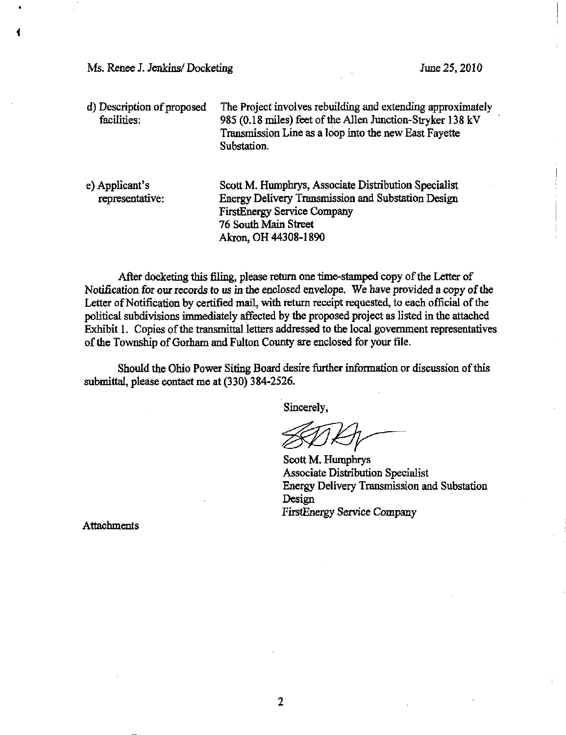Ms. Renee J. Jenkins/Docketing June 25, 2010

- d) Description of proposed The Project involves rebuilding and extending approximately facilities: 985 (0.18 miles) feet of the Allen Junction-Stryker 138 kV Transmission Line as a loop into the new East Fayette Substation.
- e) Applicant's Scott M. Humphrys, Associate Distribution Specialist representative: Energy Delivery Transmission and Substation Design FirstEnergy Service Company 76 South Main Street Akron, OH 44308-1890

After docketing this filing, please return one time-stamped copy of the Letter of Notification for our records to us in the enclosed envelope. We have provided a copy of the Letter of Notification by certified mail, with retum receipt requested, to each official of the political subdivisions immediately affected by the proposed project as listed in the attached Exhibit 1. Copies of the transmittal letters addressed to the local govemment representatives of the Township of Gorham and Fulton County are enclosed for your file.

Should the Ohio Power Siting Board desire further infonnation or discussion of this submittal, please contact me at (330) 384-2526.

Sincerely,

Scott M. Humphrys Associate Distribution Specialist Energy Delivery Transmission and Substation Design FirstEnergy Service Company

Attachments

 $\overline{2}$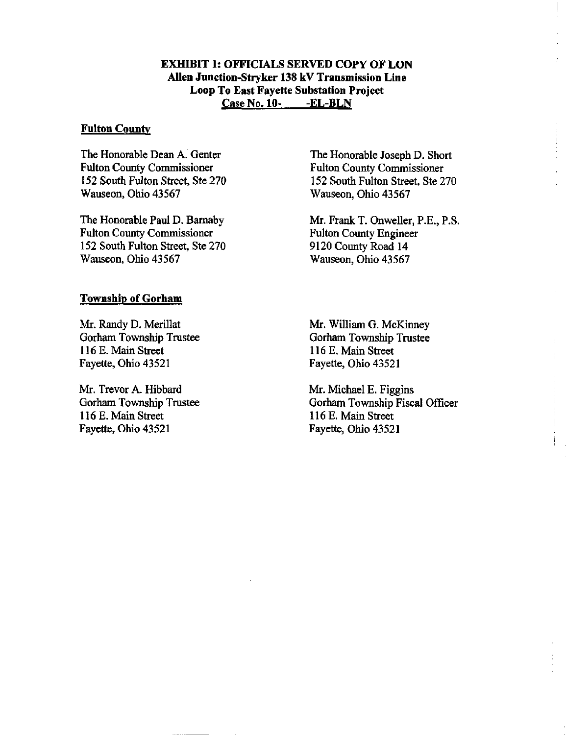#### **EXHIBIT 1: OFFICIALS SERVED COPY OF LON** Allen Junction-Stryker 138 kV Transmission Line Loop To East Fayette Substation Project Case No. 10- -EL-BLN

#### Fulton County

The Honorable Dean A. Genter Fulton County Commissioner 152 South Fulton Street, Ste 270 Wauseon, Ohio 43567

The Honorable Paul D. Barnaby Fulton County Commissioner 152 South Fulton Street, Ste 270 Wauseon, Ohio 43567

Township of Gorham

Mr. Randy D. Merillat Gorham Township Trustee 116 E. Main Street Fayette, Ohio 43521

Mr. Trevor A. Hibbard Gorham Township Trustee 116 E. Main Street Fayette, Ohio 43521

 $\bar{\lambda}$ 

The Honorable Joseph D. Short Fulton County Commissioner 152 South Fulton Street, Ste 270 Wauseon, Ohio 43567

 $\begin{array}{c} \mathbf{1} & \mathbf{1} & \mathbf{1} \\ \mathbf{1} & \mathbf{1} & \mathbf{1} \\ \mathbf{1} & \mathbf{1} & \mathbf{1} \\ \mathbf{1} & \mathbf{1} & \mathbf{1} \end{array}$ 

Mr. Frank T. Onweller, P.E., P.S. Fulton County Engineer 9120 County Road 14 Wauseon, Ohio 43567

Mr. William G. McKinney Gorham Township Trustee 116 E. Main Street Fayette, Ohio 43521

Mr. Michael E. Figgins Gorham Township Fiscal Officer 116 E. Main Street Fayette, Ohio 43521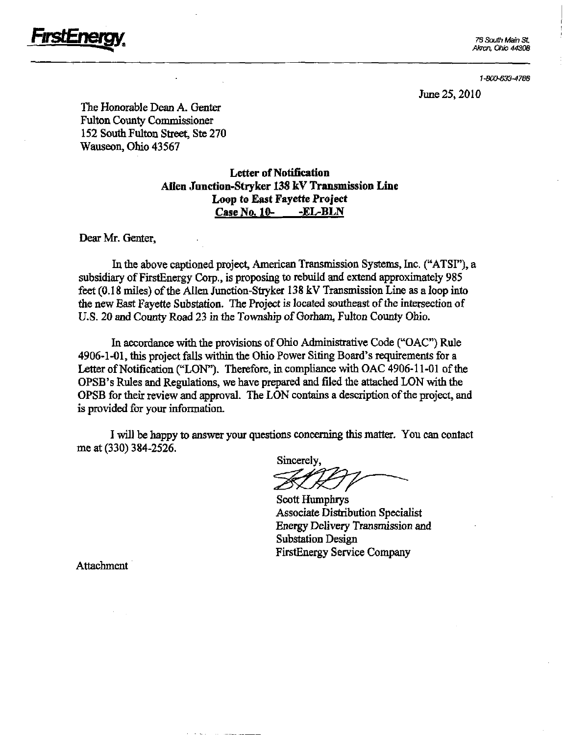

76 South Main St. Akron. Ohio 44308

1-800-633-4766

June 25,2010

The Honorable Dean A. Genter Fulton County Commissioner 152 South Fulton Street, Ste 270 Wauseon, Ohio 43567

#### Letter of Notification Allen Junction-Stryker 138 kV Transmission Line Loop to East Fayette Project Case No.  $10$ - -EL-BLN

Dear Mr. Genter,

In the above captioned project, American Transmission Systems, Inc. ("ATSI"), a subsidiary of FirstEnergy Corp., is proposing to rebuild and extend approximately 985 feet (0.18 miles) of the Allen Junction-Stryker 138 kV Transmission Line as a loop into the new East Fayette Substation. The Project is located southeast of the intersection of U.S. 20 and County Road 23 in the Township of Gorham, Fulton County Ohio.

In accordance with the provisions of Ohio Administtative Code ("OAC") Rule 4906-1-01, this project falls within the Ohio Power Siting Board's requirements for a Letter of Notification ("LON"). Therefore, in compliance with OAC 4906-11-01 of the OPSB's Rules and Regulations, we have prepared and filed the attached LON with the OPSB for their review and approval. The LON contains a description of the project, and is provided for your information.

I will be happy to answer your questions conceming this matter. You can contact me at (330) 384-2526.

Sincerely,

Scott Humphrys Associate Distribution Specialist Energy Delivery Transmission and Substation Design FirstEnergy Service Company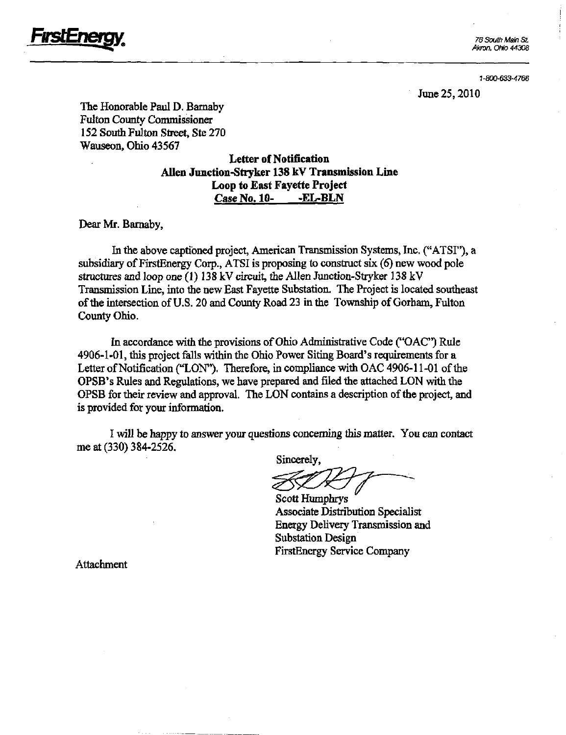

76 South Main St. Akron, Ohio 44308

1-800-633-4766

June 25,2010

The Honorable Paul D. Bamaby Fulton County Commissioner 152 South Fulton Street, Ste 270 Wauseon, Ohio 43567

> Letter of Notification Allen Junction-Stryker 138 kV Transmission Line Loop to East Fayette Project Case No. 10- -EL-BLN

Dear Mr. Bamaby,

In the above captioned project, American Transmission Systems, Inc. ("ATSI"), a subsidiary of FirstEnergy Corp., ATSI is proposing to constmct six (6) new wood pole structures and loop one (1) 138 kV circuit, the Allen Junction-Stryker 138 kV Transmission Line, into the new East Fayette Substation. The Project is located southeast of the intersection of U.S. 20 and County Road 23 hi the Township of Gorham, Fulton County Ohio.

In accordance with the provisions of Ohio Administrative Code ("OAC") Rule 4906-1-01, this project falls within the Ohio Power Siting Board's requirements for a Letter of Notification ("LON"). Therefore, in compliance with OAC 4906-11-01 of the OPSB's Rules and Regulations, we have prepared and filed the attached LON with the OPSB for their review and approval. The LON contains a description of the project, and is provided for your information.

I will be happy to answer your questions conceming this matter. You can contact me at (330) 384-2526.

Sincerely,

Scott Humphrys Associate Distribution Specialist Energy Delivery Transmission and Substation Design FirstEnergy Service Company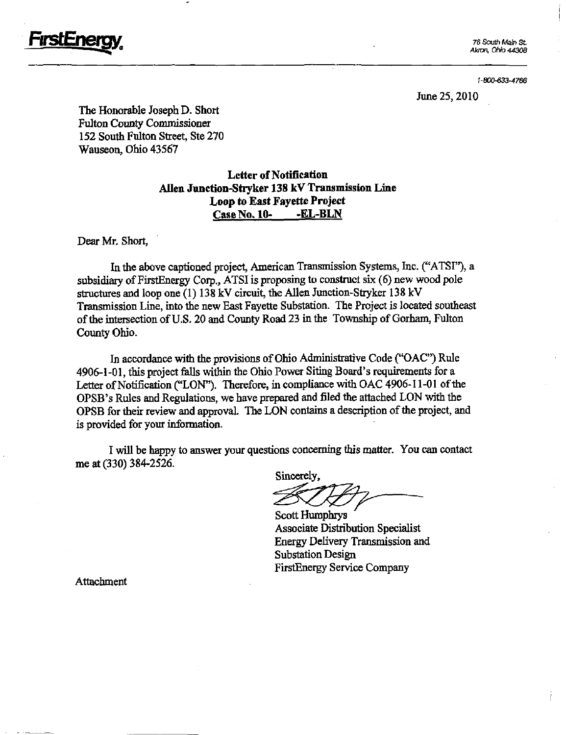

76 South Main St. Akron, Ohio 44308

1-800-633-4766

June 25,2010

The Honorable Joseph D. Short Fulton County Commissioner 152 South Fulton Stteet, Ste 270 Wauseon, Ohio 43567

#### Letter of Notification Allen Junction-Stryker 138 kV Transmission Line Loop to East Fayette Project Case No. 10- -EL-BLN

Dear Mr. Short,

In the above captioned project, American Transmission Systems, Inc. ("ATSI"), a subsidiary of FirstEnergy Corp., ATSI is proposmg to constmct six (6) new wood pole structures and loop one (1) 138 kV circuit, the Allen Junction-Stryker 138 kV Transmission Line, into the new East Fayette Substation. The Project is located southeast of the intersection of U.S. 20 and County Road 23 in the Township of Gorham, Fulton County Ohio.

In accordance with the provisions of Ohio Administrative Code ("OAC") Rule 4906-1-01, this project falls within the Ohio Power Siting Board's requirements for a Letter of Notification ("LON"). Therefore, in compliance with OAC 4906-11-01 of the OPSB's Rules and Regulations, we have prepared and filed the attached LON with the OPSB for their review and approval. The LON contains a description of the project, and is provided for your information.

I will be happy to answer your questions concerning this matter. You can contact me at (330) 384-2526.

Sincerely,

Scott Humphrys Associate Distribution Specialist Energy Delivery Transmission and Substation Design FirstEnergy Service Company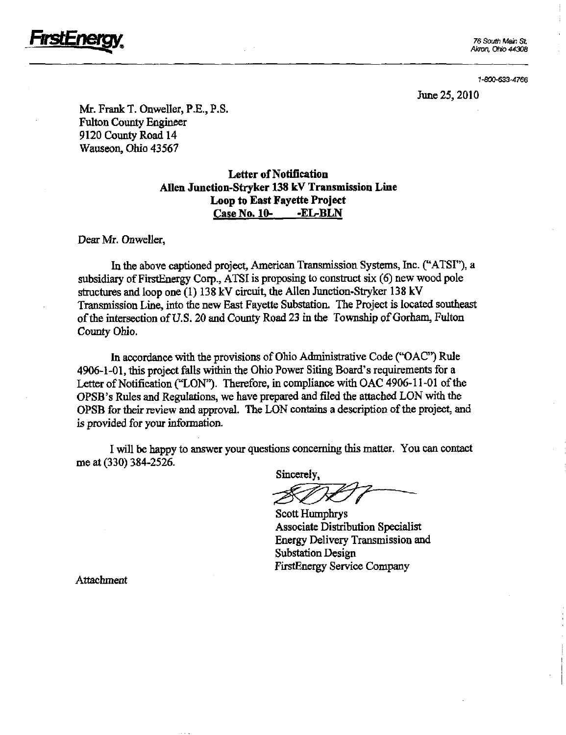

76 South Main St. Akron. Ohio 44308

1-800-633-4766

June 25,2010

Mr. Frank T. Onweller, P.E., P.S. Fulton County Engineer 9120 County Road 14 Wauseon, Ohio 43567

#### Letter of Notification Allen Junction-Stryker 138 kV Transmission Line Loop to East Fayette Project Case No. 10- -EL-BLN

Dear Mr. Onweller,

In the above captioned project, American Transmission Systems, Inc. ("ATSI"), a subsidiary of FirstEnergy Corp., ATSI is proposing to construct six (6) new wood pole structures and loop one (1) 138 kV circuit, the Allen Junction-Stryker 138 kV Transmission Line, into the new East Fayette Substation. The Project is located southeast of the intersection of U.S. 20 and County Road 23 in the Township of Gorham, Fulton County Ohio.

In accordance with the provisions of Ohio Administrative Code ("OAC") Rule 4906-1-01, this project falls withm the Ohio Power Siting Board's requirements for a Letter of Notification ("LON"). Therefore, in compliance with OAC 4906-11-01 of the OPSB's Rules and Regulations, we have prepared and filed the attached LON with the OPSB for their review and approval. The LON contams a description of the project, and is provided for your infomiation.

I will be happy to answer your questions conceming this matter. You can contact me at (330) 384-2526.

Sincerely,

Scott Humphrys Associate Distribution Specialist Energy Delivery Transmission and Substation Design FirstEnergy Service Company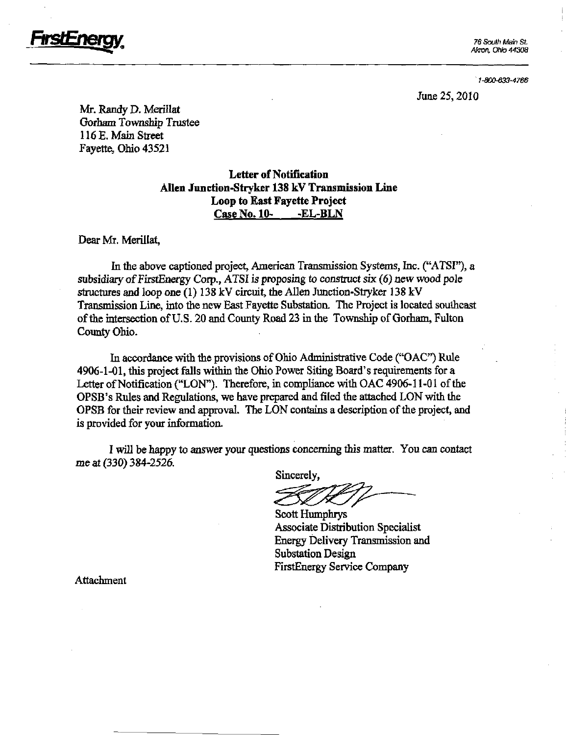

76 South Main St Akron, Ohio 44308

1-800-633-4766

June 25,2010

Mr. Randy D. Merillat Gorham Township Trustee 116 E. Main Street Fayette, Ohio 43521

#### Letter of Notification Allen Junction-Stryker 138 kV Transmission Line Loop to East Fayette Project Case No. 10- -EL-BLN

Dear Mr. Merillat,

In the above captioned project, American Transmission Systems, Inc. ("ATSI"), a subsidiary of FirstEnergy Corp., ATSI is proposing to constmct six (6) new wood pole structures and loop one  $(1)$  138 kV circuit, the Allen Junction-Stryker 138 kV Transmission Line, into the new East Fayette Substation, The Project is located southeast of the intersection of U.S. 20 and County Road 23 in the Township of Gorham, Fulton County Ohio.

In accordance vrith the provisions of Ohio Administrative Code ("OAC") Rule 4906-1-01, this project falls within the Ohio Power Siting Board's requirements for a Letter of Notification ("LON"). Therefore, in compliance with OAC 4906-11-01 of the OPSB's Rules and Regulations, we have prepared and filed the attached LON with the OPSB for their review and approval. The LON contains a description of the project, and is provided for your information.

I will be happy to answer your questions conceming this matter. You can contact me at (330) 384-2526.

Sincerely,

Scott Humphrys Associate Distribution Specialist Energy Delivery Transmission and Substation Design FirstEnergy Service Company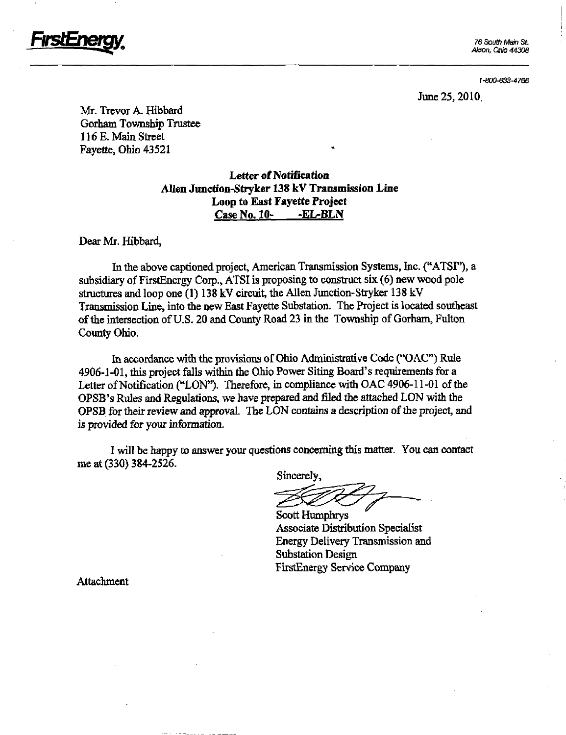

76 South Main St. Akton, Ohio 44308

1-800-633-4766

June 25,2010

Mr. Trevor A. Hibbard Gorham Township Trustee 116 E. Main Street Fayette, Ohio 43521

#### Letter of Notification Allen Junction-Stryker 138 kV Transmission Line Loop to East Fayette Project Case No. 10- -EL-BLN

Dear Mr. Hibbard,

In the above captioned project, American Transmission Systems, Inc. ("ATSI"), a subsidiary of FirstEnergy Corp., ATSI is proposing to constmct six (6) new wood pole structures and loop one (1) 138 kV circuit, the Allen Junction-Stryker 138 kV Transmission Line, into the new East Fayette Substation. The Project is located southeast of the intersection of U.S. 20 and County Road 23 in the Township of Gorham, Fulton County Ohio.

In accordance with the provisions of Ohio Administrative Code ("OAC") Rule 4906-1-01, this project falls within the Ohio Power Siting Board's requirements for a Letter of Notification ("LON"). Therefore, in compliance with OAC 4906-11-01 of the OPSB's Rules and Regulations, we have prepared and filed the attached LON with the OPSB for their review and approval. The LON contains a description of the project, and is provided for your information.

I will be happy to answer your questions conceming this matter. You can contact me at (330) 384-2526.

Sincerely,

Scott Humphrys Associate Distribution Specialist Energy Dehvery Transmission and Substation Design FirstEnergy Service Company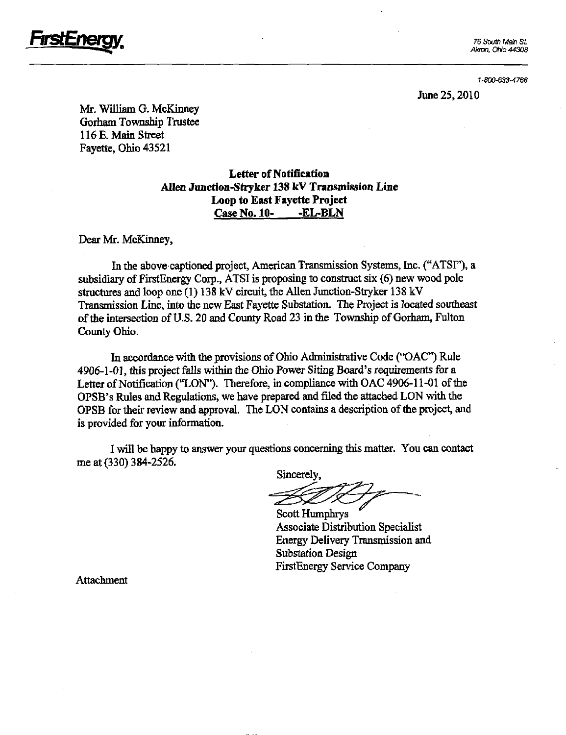

76 South Main St. Akron. ONo 44308

1-800-633-4766

June 25,2010

Mr. William G. McKinney Gorham Township Trustee 116 E. Main Street Fayette, Ohio 43521

#### Letter of Notification Allen Junction-Stryker 138 kV Transmission Line Loop to East Fayette Project Case No. 10- -EL-BLN

Dear Mr. McKinney,

In the above captioned project, American Transmission Systems, Inc. ("ATSI"), a subsidiary of FirstEnergy Corp., ATSI is proposing to constmct six (6) new wood pole stmctures and loop one (1) 138 kV circuit, the Allen Junction-Stryker 138 kV Transmission Line, into the new East Fayette Substation. The Project is located southeast of the intersection of U.S. 20 and County Road 23 in the Township of Gorham, Fulton County Ohio.

In accordance vrith the provisions of Ohio Administrative Code ("OAC") Rule 4906-1-01, this project falls within the Ohio Power Siting Board's requirements for a Letter of Notification ("LON"). Therefore, in compliance with OAC 4906-11-01 of the OPSB's Rules and Regulations, we have prepared and filed the attached LON with the OPSB for their review and approval. The LON contains a description of the project, and is provided for your information.

I will be happy to answer your questions conceming this matter. You can contact me at (330) 384-2526.

Sincerely,

Scott Humphrys Associate Distribution Specialist Energy Delivery Transmission and Substation Design FirstEnergy Service Company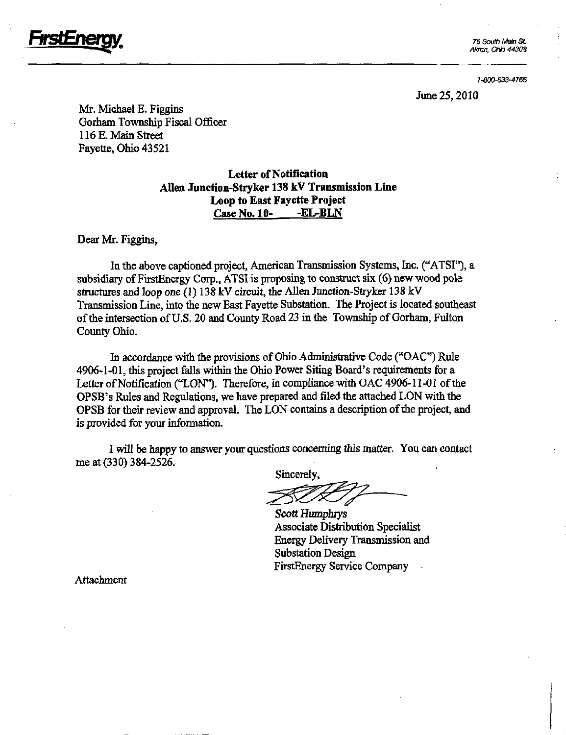

76 South Main St. Akron, Ohb 44308

1-800-633-4766

June 25,2010

Mr. Michael E. Figgins Gorham Township Fiscal Officer 116 E. Main Street Fayette, Ohio 43521

#### Letter of Notification Allen Junction-Stryker 138 kV Transmission Line Loop to East Fayette Project  $Case No. 10 - ELL-BLN$

Dear Mr. Figgins,

In the above captioned project, American Transmission Systems, Inc. ("ATSI"), a subsidiary of FirstEnergy Corp., ATSI is proposing to constmct six (6) new wood pole structures and loop one (1) 138 kV circuit, the Allen Junction-Stryker 138 kV Transmission Line, into the new East Fayette Substation. The Project is located southeast of the intersection of U.S. 20 and County Road 23 in the Township of Gorham, Fulton County Ohio.

In accordance with the provisions of Ohio Administrative Code ("OAC") Rule 4906-1-01, this project falls within the Ohio Power Siting Board's requirements for a Letter of Notification ("LON"). Therefore, in compliance with OAC 4906-11-01 of the OPSB's Rules and Regulations, we have prepared and filed the attached LON with the OPSB for their review and approval. The LON contains a description of the project, and is provided for your information.

I will be happy to answer your questions conceming this matter. You can contact me at (330) 384-2526.

Sincerely,

Scott Humpbrys Associate Distribution Specialist Energy Delivery Transmission and Substation Design FirstEnergy Service Company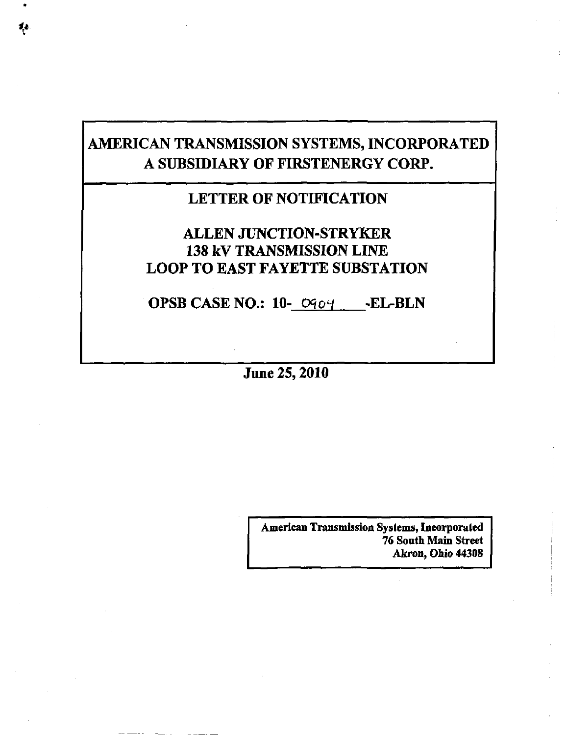## AMERICAN TRANSMISSION SYSTEMS, INCORPORATED A SUBSIDIARY OF FIRSTENERGY CORP.

 $\ddot{\phantom{0}}$  .

### LETTER OF NOTIFICATION

## ALLEN JUNCTION-STRYKER 138 kV TRANSMISSION LINE LOOP TO EAST FAYETTE SUBSTATION

OPSB CASE NO.:  $10 - \overline{Oq_0q}$  -EL-BLN

June 25,2010

American Transmission Systems, Incorporated 76 South Main Street Akron, Ohio 44308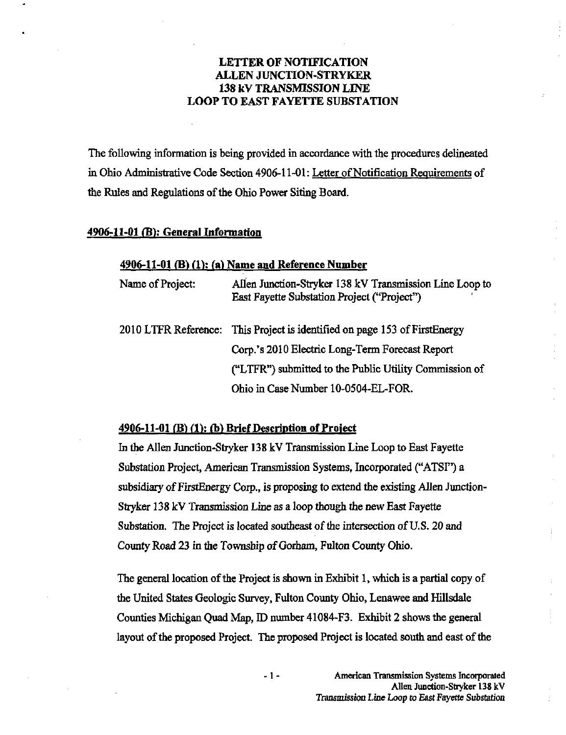#### LETTER OF NOTIFICATION ALLEN JUNCTION-STRYKER 138 kV TRANSMISSION LINE LOOP TO EAST FAYETTE SUBSTATION

The following information is being provided in accordance with the procedures delineated in Ohio Admmisttative Code Section 4906-11-01: Letter of Notification Requirements of the Rules and Regulations of the Ohio Power Siting Board.

#### 4906-11-01 (E): General Information

#### $4906-11-01$  (B)  $(1)$ : (a) Name and Reference Number

| Name of Project:     | Allen Junction-Stryker 138 kV Transmission Line Loop to<br><b>East Fayette Substation Project ("Project")</b> |
|----------------------|---------------------------------------------------------------------------------------------------------------|
| 2010 LTFR Reference: | This Project is identified on page 153 of First Energy                                                        |
|                      | Corp.'s 2010 Electric Long-Term Forecast Report                                                               |
|                      | ("LTFR") submitted to the Public Utility Commission of                                                        |
|                      | Ohio in Case Number 10-0504-EL-FOR.                                                                           |

#### $4906-11-01$  (B) (1): (b) Brief Description of Project

In the Allen Junction-Stryker 138 kV Transmission Line Loop to East Fayette Substation Project, American Transmission Systems, Incorporated ("ATSI") a subsidiary of FirstEnergy Corp., is proposing to extend the existing Allen Junction-Stryker 138 kV Transmission Line as a loop though the new East Fayette Substation. The Project is located southeast of the intersection of U.S. 20 and County Road 23 in the Township of Gorham, Fulton County Ohio.

The general location of the Project is shown in Exhibit 1, which is a partial copy of the United States Geologic Survey, Fulton County Ohio, Lenawee and Hillsdale Counties Michigan Quad Map, ID number 41084-F3. Exhibit 2 shows the general layout of the proposed Project. The proposed Project is located south and east of the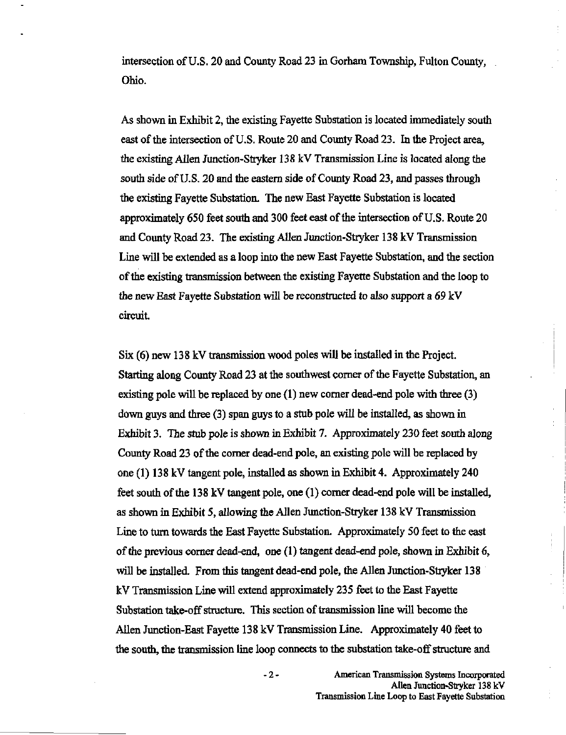mtersection of U.S. 20 and County Road 23 in Gorham Township, Fulton County, Ohio.

As shown in Exhibit 2, the existing Fayette Substation is located immediately south east of the intersection of U.S. Route 20 and County Road 23. In the Project area, the existing Allen Junction-Stryker 138 kV Transmission Line is located along the south side of U.S. 20 and the eastern side of County Road 23, and passes through the existing Fayette Substation. The new East Fayette Substation is located approximately 650 feet south and 300 feet east of the intersection of U.S. Route 20 and County Road 23. The existing Allen Junction-Stryker 138 kV Transmission Line will be extended as a loop into the new East Fayette Substation, and the section of the existing ttansmission between the existing Fayette Substation and the loop to the new East Fayette Substation will be reconstructed to also support a 69 kV circuit.

Six (6) new 138 kV ttansmission wood poles will be installed in the Project. Starting along County Road 23 at the southwest comer of the Fayette Substation, an existing pole will be replaced by one (1) new comer dead-end pole with three (3) down guys and three (3) span guys to a stub pole will be installed, as shown in Exhibit 3. The stub pole is shown in Exhibit 7. Approximately 230 feet south along County Road 23 of the comer dead-end pole, an existing pole will be replaced by one  $(1)$  138 kV tangent pole, installed as shown in Exhibit 4. Approximately 240 feet south of the 138 kV tangent pole, one  $(1)$  corner dead-end pole will be installed, as shown in Exhibit 5, allowing the Allen Junction-Stryker 138 kV Transmission Line to turn towards the East Fayette Substation. Approximately 50 feet to the east of the previous comer dead-end, one (1) tangent dead-end pole, shown in Exhibit 6, will be installed. From this tangent dead-end pole, the Allen Junction-Stryker 138 kV Transmission Line will extend approximately 235 feet to the East Fayette Substation take-off structure. This section of transmission line will become the Allen Junction-East Fayette 138 kV Transmission Line. Approximately 40 feet to the south, the transmission line loop connects to the substation take-off structure and

- 2 - American Transmission Systems Incorporated Allen Jimction-Stryker 138 kV Transmission Line Loop to East Fayette Substation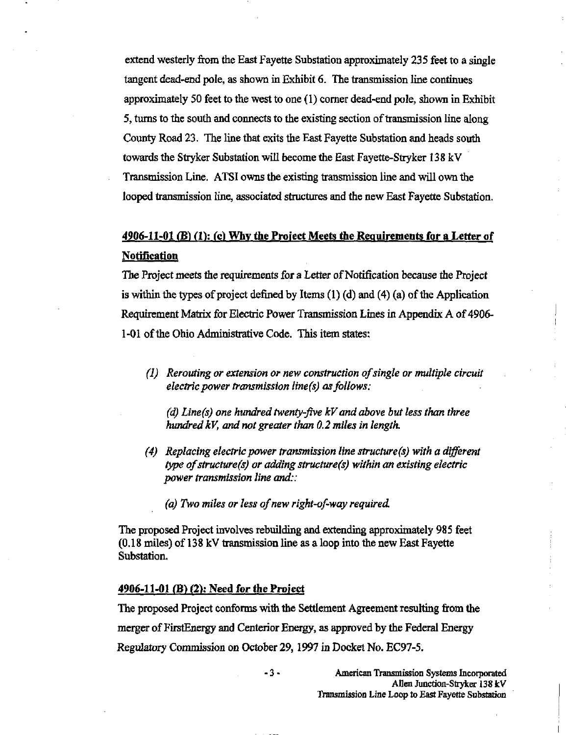extend westerly from the East Fayette Substation approximately 235 feet to a single tangent dead-end pole, as shown in Exhibit 6. The ttansmission line continues approximately 50 feet to the west to one (1) comer dead-end pole, shown in Exhibit 5, turns to the south and connects to the existing section of ttansmission line along County Road 23. The line that exits the East Fayette Substation and heads south towards the Stryker Substation will become the East Fayette-Stryker 138 kV Transmission Line. ATSI owns the existing transmission line and will own the looped ttansmission line, associated structures and the new East Fayette Substation.

### 4906-11-01 (B) (1): (c) Why the Project Meets the Requirements for a Letter of **Notification**

The Project meets the requirements for a Letter of Notification because the Project is within the types of project defined by Items (1) (d) and (4) (a) of the Application Requirement Matrix for Electric Power Transmission Lines in Appendix A of 4906- 1-01 of the Ohio Administtative Code. This item states:

(I) Rerouting or extension or new construction of single or multiple circuit electric power transmission line(s) as follows:

(d) Line(s) one hundred twenty-five  $kV$  and above but less than three hundred kV, and not greater than 0.2 miles in length.

- (4) Replacing electric power transmission line structure (s) with a different type of structure(s) or adding structure(s) within an existing electric power transmission line and::
	- (a) Two miles or less of new right-of-way required.

The proposed Project involves rebuilding and extending approximately 985 feet (0.18 miles) of 138 kV ttansmission line as a loop into the new East Fayette Substation.

#### $4906-11-01$  (B) (2): Need for the Project

The proposed Project conforms with the Settlement Agreement resulting from the merger of FirstEnergy and Centerior Energy, as approved by the Federal Energy Regulatory Commission on October 29,1997 m Docket No. EC97-5.

> - 3 - American Transmission Systems Incorporated Allen Junction-Stiyker 138 kV Transmission Line Loop to East Fayette Substation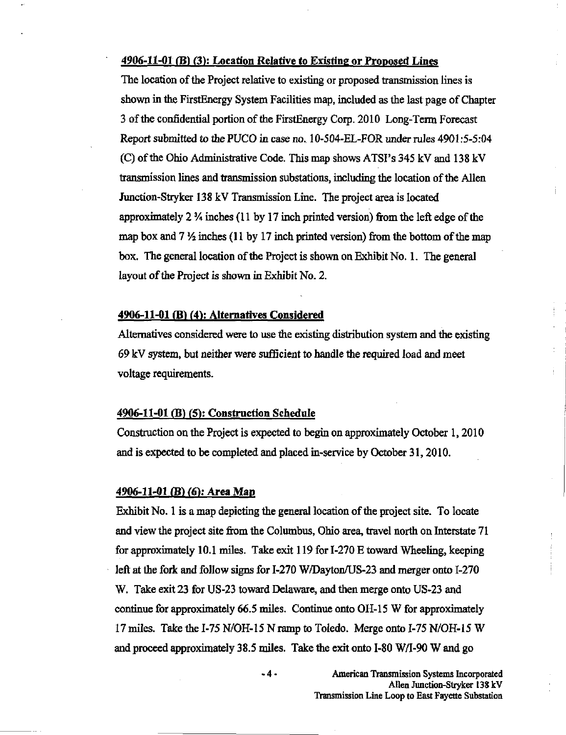#### 4906-11-01 (B) (3): Location Relative to Existing or Proposed Lines

The location of the Project relative to existing or proposed ttansmission lines is shown in the FirstEnergy System Facilities map, included as the last page of Chapter 3 of the confidential portion of the FirstEnergy Corp. 2010 Long-Term Forecast Report submitted to the PUCO in case no. 10-504-EL-FOR under rules 4901:5-5:04 (C) of the Ohio Administrative Code. This map shows ATSI's 345 kV and 138 kV ttansmission lines and ttansmission substations, mcluding the location of the Allen Junction-Stryker 138 kV Transmission Line. The project area is located approximately 2  $\frac{3}{4}$  inches (11 by 17 inch printed version) from the left edge of the map box and  $7\frac{1}{2}$  inches (11 by 17 inch printed version) from the bottom of the map box. The general location of the Project is shown on Exhibit No. 1. The general layout of the Project is shown in Exhibit No. 2.

#### 4906-11-01 (B) (4): Alternatives Considered

Alternatives considered were to use the existing distribution system and the existing 69 kV system, but neither were sufficient to handle the required load and meet voltage requirements.

#### 4906-11-01 (B) (5): Construction Schedule

Construction on the Project is expected to begin on approximately October 1, 2010 and is expected to be completed and placed in-service by October 31,2010.

#### $4906 - 11 - 01$  (B) (6): Area Map

Exhibit No. 1 is a map depicting the general location of the project site. To locate and view the project site from the Columbus, Ohio area, travel north on Interstate 71 for approximately 10.1 miles. Take exit 119 for 1-270 E toward Wheeling, keeping left at the fork and follow signs for I-270 W/Dayton/US-23 and merger onto I-270 W. Take exit 23 for US-23 toward Delaware, and then merge onto US-23 and continue for approximately 66.5 miles. Continue onto OH-15 W for approximately 17 miles. Take the I-75 N/OH-15 N ramp to Toledo. Merge onto I-75 N/OH-15 W and proceed approximately 38.5 miles. Take the exit onto 1-80 W/I-90 W and go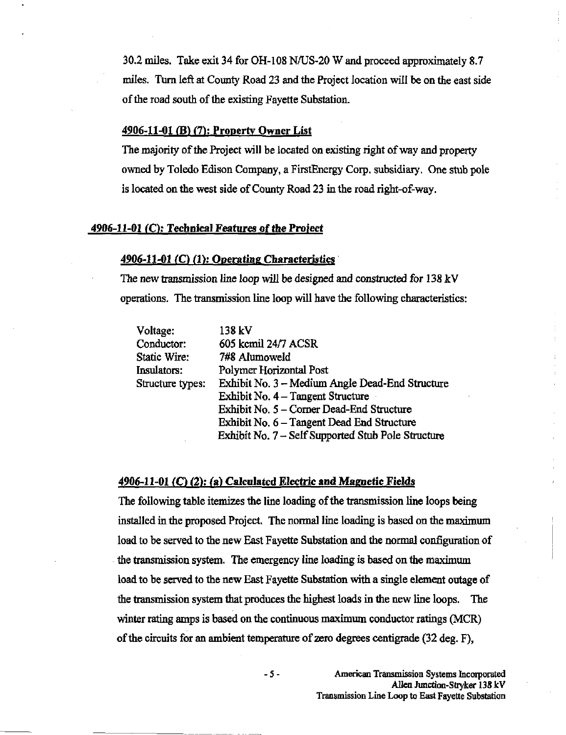30.2 miles. Take exit 34 for OH-108 N/US-20 W and proceed approximately 8.7 miles. Turn left at County Road 23 and the Project location will be on the east side of the road south of the existing Fayette Substation.

#### 4906-11-01 (B) (7): Property Owner List

The majority of the Project will be located on existing right of way and property owned by Toledo Edison Company, a FirstEnergy Corp, subsidiary. One stub pole is located on the west side of County Road 23 in the road right-of-way.

#### 4906-11-01 (C): Technical Features of the Project

#### $4906-11-01$  (C) (1): Operating Characteristics

The new transmission line loop will be designed and constructed for 138 kV operations. The ttansmission line loop will have the following characteristics:

| Voltage:         | 138 kV                                             |
|------------------|----------------------------------------------------|
| Conductor:       | 605 kcmil 24/7 ACSR                                |
| Static Wire:     | 7#8 Alumoweld                                      |
| Insulators:      | Polymer Horizontal Post                            |
| Structure types: | Exhibit No. 3 – Medium Angle Dead-End Structure    |
|                  | Exhibit No. 4 – Tangent Structure                  |
|                  | Exhibit No. 5 – Corner Dead-End Structure          |
|                  | Exhibit No. 6 – Tangent Dead End Structure         |
|                  | Exhibit No. 7 – Self Supported Stub Pole Structure |

#### 4906-11-01 (C) (2): (a) Calculated Electric and Magnetic Fields

The following table itemizes the line loading of the transmission line loops being installed in the proposed Project. The normal line loading is based on the maximum load to be served to the new East Fayette Substation and the normal configuration of the ttansmission system. The emergency line loading is based on the maximum load to be served to the new East Fayette Substation with a single element outage of the ttansmission system that produces the highest loads in the new line loops. The winter rating amps is based on the continuous maximum conductor ratings (MCR) of the circuits for an ambient temperature of zero degrees centigrade (32 deg. F),

 $-5 -$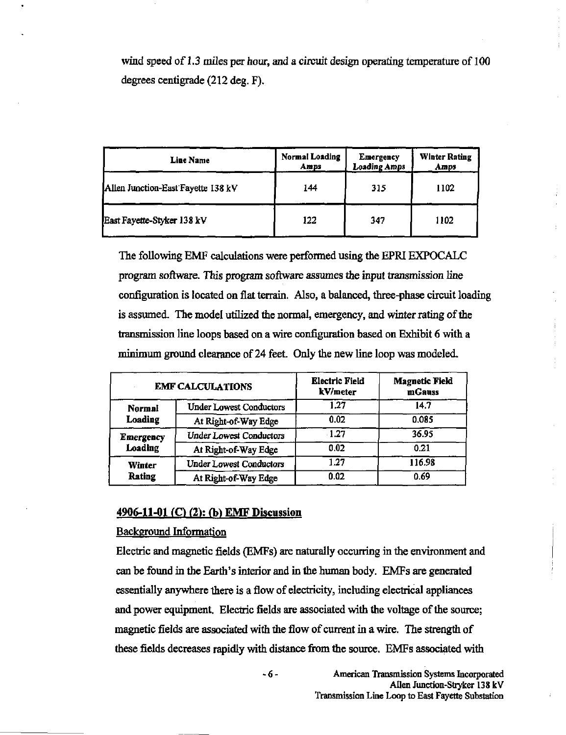wind speed of 1.3 miles per hour, and a circuit design operating temperature of 100 degrees centigrade (212 deg. F).

| Line Name                          | <b>Normal Loading</b><br>Amps | Emergency<br><b>Loading Amps</b> | <b>Winter Rating</b><br>Amps |
|------------------------------------|-------------------------------|----------------------------------|------------------------------|
| Allen Junction-East Fayette 138 kV | 144                           | 315                              | 1102                         |
| East Fayette-Styker 138 kV         | 122                           | 347                              | 1102                         |

The following EMF calculations were performed using the EPRI EXPOCALC program software. This program software assumes the input transmission line configuration is located on flat terrain. Also, a balanced, three-phase circuit loading is assumed. The model utilized the normal, emergency, and winter rating of the ttansmission line loops based on a wire configuration based on Exhibit 6 with a minimum ground clearance of 24 feet. Only the new line loop was modeled.

| <b>EMF CALCULATIONS</b>         |                                | <b>Electric Field</b><br>kV/meter | <b>Magnetic Field</b><br>mGauss |  |
|---------------------------------|--------------------------------|-----------------------------------|---------------------------------|--|
| <b>Normal</b><br><b>Loading</b> | <b>Under Lowest Conductors</b> | 1.27                              | 14.7                            |  |
|                                 | At Right-of-Way Edge           | 0.02                              | 0.085                           |  |
| <b>Emergency</b><br>Loading     | <b>Under Lowest Conductors</b> | $-1.27$                           | 36.95                           |  |
|                                 | At Right-of-Way Edge           | 0.02                              | 0.21                            |  |
| Winter<br><b>Rating</b>         | <b>Under Lowest Conductors</b> | 1.27                              | 116.98                          |  |
|                                 | At Right-of-Way Edge           | 0.02                              | 0.69                            |  |

#### 4906-11-01 (C) (2): (b) EMF Discussion

#### **Background Information**

Electric and magnetic fields (EMFs) are naturally occurring in the environment and can be found in the Earth's interior and in the human body. EMFs are generated essentially anywhere there is a flow of electricity, including electrical appliances and power equipment. Electric fields are associated with the voltage of the source; magnetic fields are associated with the flow of current in a wire. The strength of these fields decreases rapidly with distance firom the source. EMFs associated with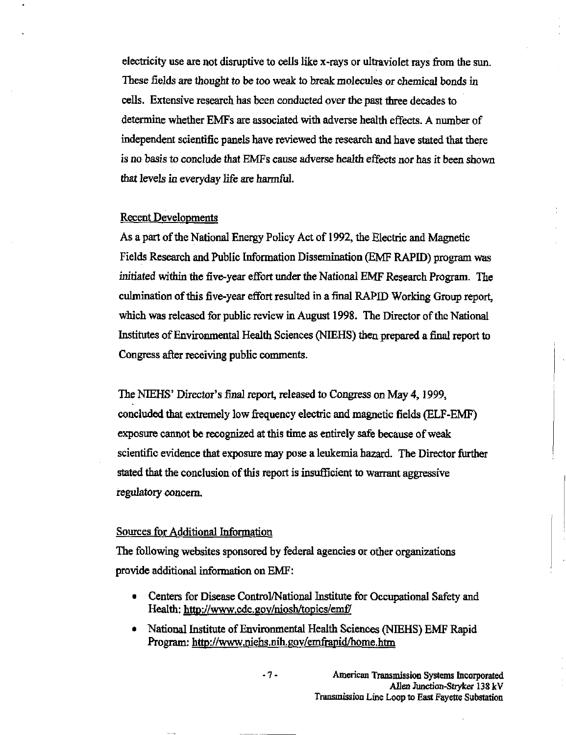electricity use are not disruptive to cells like x-rays or ultraviolet rays from the sun. These fields are thought to be too weak to break molecules or chemical bonds in cells. Extensive research has been conducted over the past three decades to determine whether EMFs are associated with adverse health effects. A number of independent scientific panels have reviewed the research and have stated that there is no basis to conclude that EMFs cause adverse health effects nor has it been shown that levels in everyday life are harmfiil.

#### Recent Developments

As a part of the National Energy Policy Act of 1992, the Electric and Magnetic Fields Research and Public Information Dissemination (EMF RAPID) program was initiated within the five-year effort under the National EMF Research Program. The cuhnination of this five-year effort resulted in a final RAPID Working Group report, which was released for public review in August 1998. The Director of the National Institutes of Environmental Health Sciences (NIEHS) then prepared a final report to Congress after receiving public comments.

The NIEHS' Director's final report, released to Congress on May 4,1999, concluded that exttemely low firequency electric and magnetic fields (ELF-EMF) exposure cannot be recognized at this time as entirely safe because of weak scientific evidence that exposure may pose a leukemia hazard. The Director further stated that the conclusion of this report is insufficient to warrant aggressive regulatory concem.

#### Sources for Additional Information

The following websites sponsored by federal agencies or other organizations provide additional information on EMF:

- Centers for Disease Conttol/National Institute for Occupational Safety and Health: http://www.cdc.gov/niosh/topics/emf/
- National Institute of Environmental Health Sciences (NIEHS) EMF Rapid Program: http://www.niehs.nih.gov/emfrapid/home.htm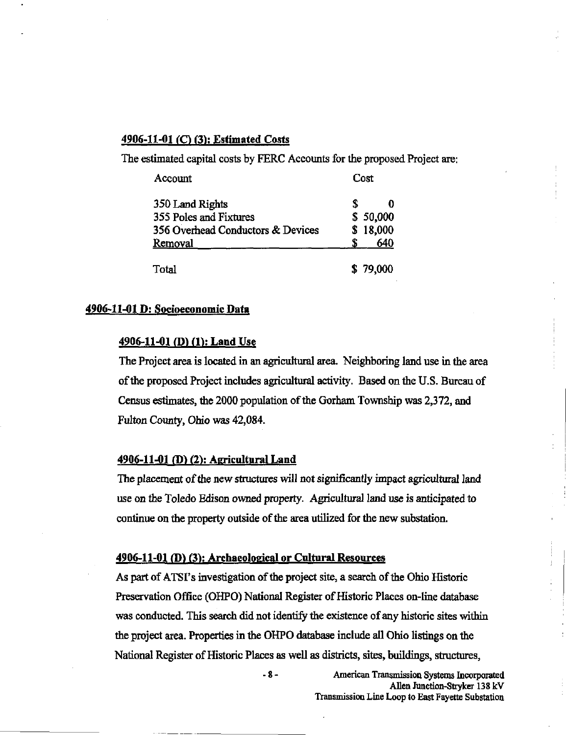#### $4906-11-01$  (C) (3): Estimated Costs

The estimated capital costs by FERC Accounts for the proposed Project are;

| Account                           |   | Cost     |  |
|-----------------------------------|---|----------|--|
| 350 Land Rights                   | S |          |  |
| 355 Poles and Fixtures            |   | \$50,000 |  |
| 356 Overhead Conductors & Devices |   | \$18,000 |  |
| Removal                           |   | 640      |  |
| Total                             |   | \$79,000 |  |

#### 4906-11-01D; Socioeconomic Data

#### 4906-11-01 (D) (1): Land Use

The Project area is located in an agricultural area. Neighboring land use in the area of the proposed Project includes agricultural activity. Based on the U.S. Bureau of Census estimates, the 2000 population of the Gorham Township was 2,372, and Fulton County, Ohio was 42,084.

#### 4906-11-01 (B) (2): Agricultural Land

The placement of the new structures will not significantiy impact agricultural land use on the Toledo Edison owned property. Agricultural land use is anticipated to continue on the property outside of the area utilized for the new substation.

#### 4906-11-01 (B) (3): Archaeological or Cultural Resources

As part of ATSI's investigation of the project site, a search of the Ohio Historic Preservation Office (OHPO) National Register of Historic Places on-line database was conducted. This search did not identify the existence of any historic sites within the project area. Properties in the OHPO database include all Ohio listings on the National Register of Historic Places as well as districts, sites, buildings, stmctures,

> - 8 - American Transmission Systems Incorporated Allen Junction-Stryker 138 kV Transmission Line Loop to East Fayette Substation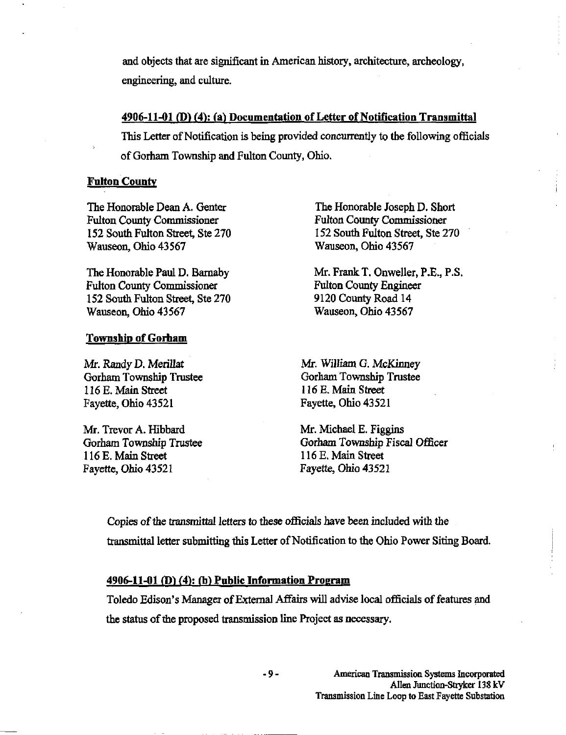and objects that are significant in American history, architecture, archeology, engineering, and culture.

#### 4906-11-01 (D) (4): (a) Documentation of Letter of Notification Transmittal

This Letter of Notification is being provided concurrentiy to the following officials of Gorham Township and Fulton County, Ohio.

#### **Fulton County**

The Honorable Dean A. Genter Fulton County Commissioner 152 South Fulton Street, Ste 270 Wauseon, Ohio 43567

The Honorable Paul D. Bamaby Fulton County Commissioner 152 South Fulton Street, Ste 270 Wauseon, Ohio 43567

#### Township of Gorham

Mr. Randy D. Merillat Gorham Township Trustee 116 E. Main Street Fayette, Ohio 43521

Mr. Trevor A. Hibbard Gorham Township Trustee 116 E. Main Street Fayette, Ohio 43521

The Honorable Joseph D. Short Fulton County Commissioner 152 South Fulton Street, Ste 270 Wauseon, Ohio 43567

Mr. Frank T. Onweller, P.E., P.S. Fulton County Engineer 9120 County Road 14 Wauseon, Ohio 43567

Mr. William G. McKinney Gorham Township Trustee 116 E. Main Street Fayette, Ohio 43521

Mr. Michael E. Figgins Gorham Township Fiscal Officer 116 E. Main Street Fayette, Ohio 43521

Copies of the transmittal letters to these officials have been included with the ttansmittal letter submitting this Letter of Notification to the Ohio Power Siting Board.

#### 4906-11-01 (B) (4): (b) Public Information Program

Toledo Edison's Manager of External Affairs will advise local officials of features and the status of the proposed transmission line Project as necessary.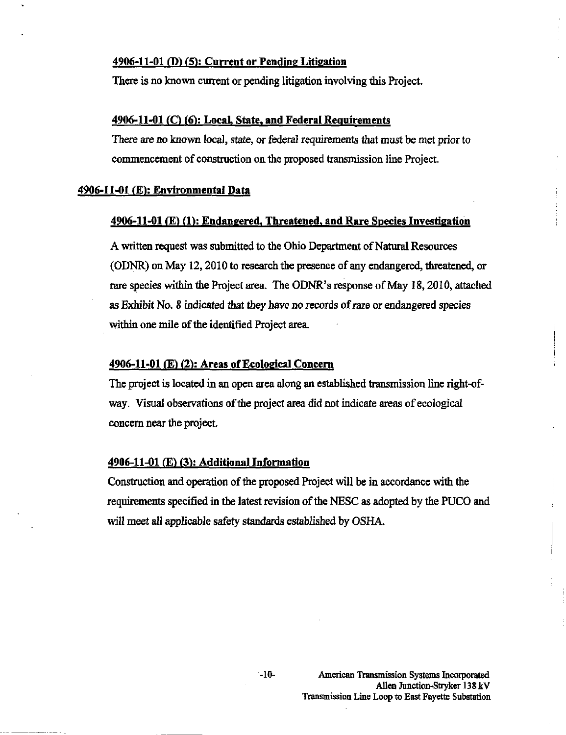#### 4906-11-01 (B) (5): Current or Pending Litigation

There is no known current or pending litigation involving this Project.

#### 4906-11-01 (C) (6): Local, State, and Federal Requirements

There are no known local, state, or federal requirements that must be met prior to commencement of construction on the proposed ttansmission line Project.

#### 4906-11-01 (E): Environmental Data

#### 4906-11-01 (E) (1): Endangered, Threatened, and Rare Species Investigation

A written request was submitted to the Ohio Department of Natural Resources (ODNR) on May 12,2010 to research the presence of any endangered, threatened, or rare species within the Project area. The ODNR's response of May 18,2010, attached as Exhibit No. S indicated that they have no records of rare or endangered species within one mile of the identified Project area.

#### 4906-11-01 (E) (2): Areas of Ecological Concern

The project is located in an open area along an established transmission line right-ofway. Visual observations of the project area did not indicate areas of ecological concem near the project,

#### 4906-11-01 (E) (3): Additional Information

Construction and operation of the proposed Project will be in accordance with the requirements specified in the latest revision of the NESC as adopted by the PUCO and will meet all applicable safety standards established by OSHA.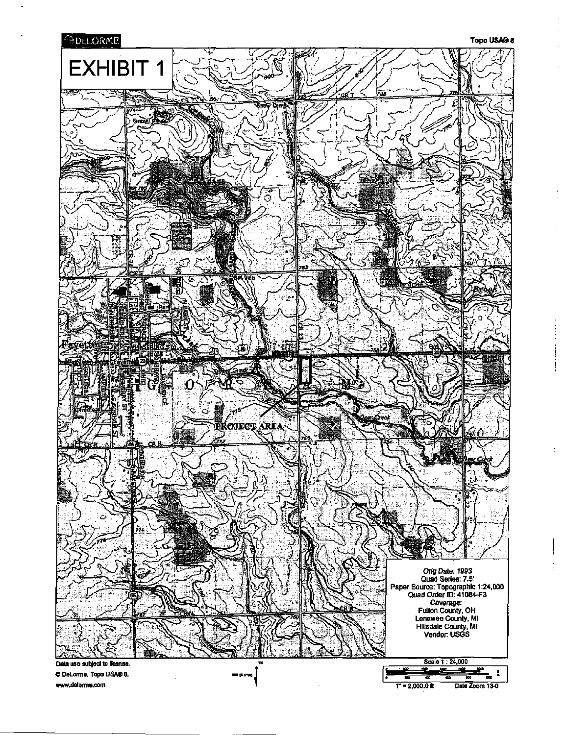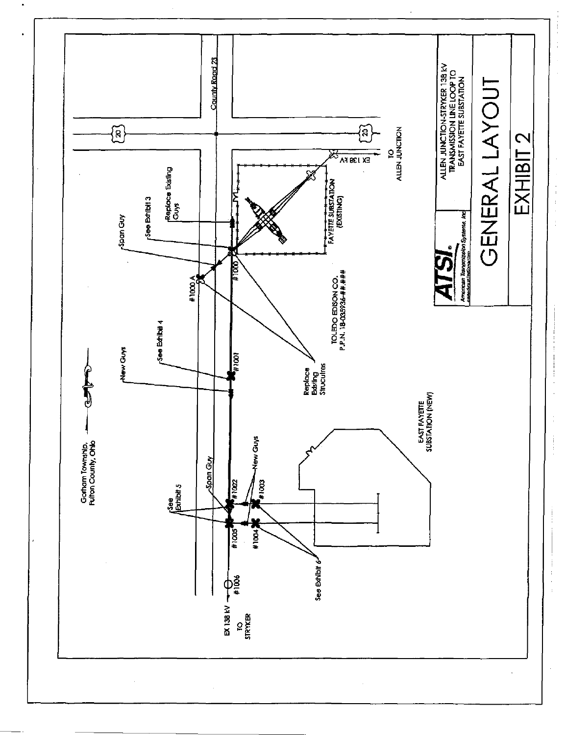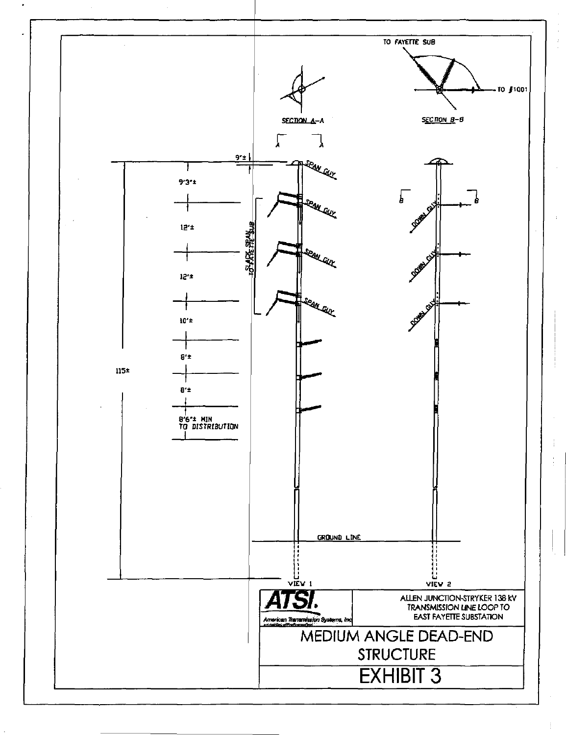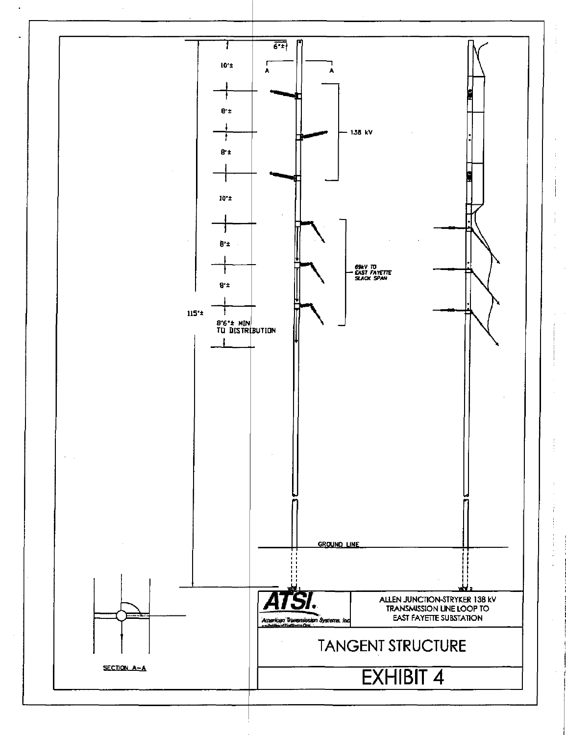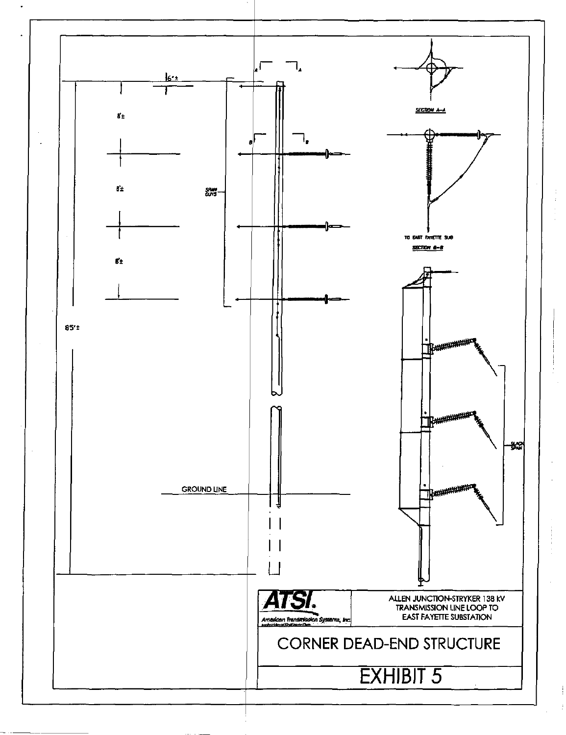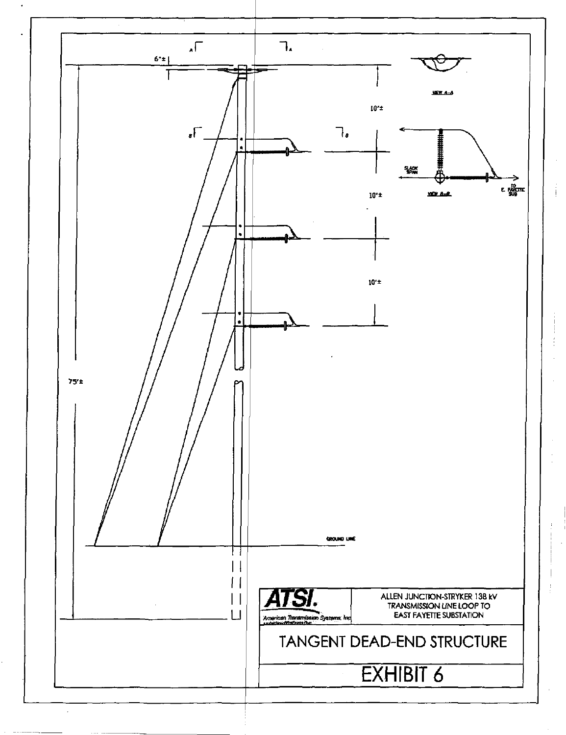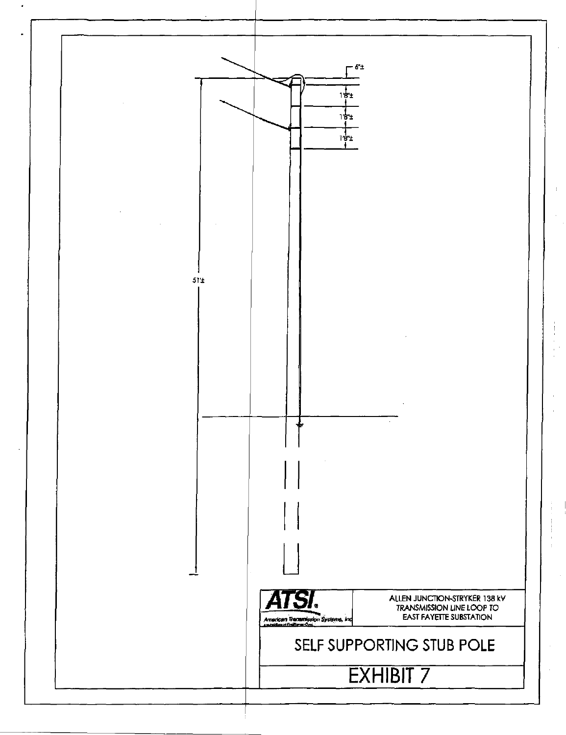